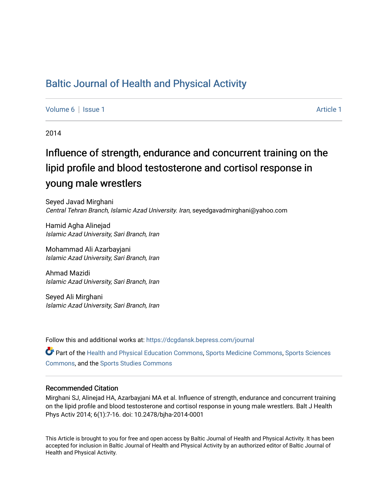# [Baltic Journal of Health and Physical Activity](https://dcgdansk.bepress.com/journal)

[Volume 6](https://dcgdansk.bepress.com/journal/vol6) | [Issue 1](https://dcgdansk.bepress.com/journal/vol6/iss1) Article 1

2014

# Influence of strength, endurance and concurrent training on the lipid profile and blood testosterone and cortisol response in young male wrestlers

Seyed Javad Mirghani Central Tehran Branch, Islamic Azad University. Iran, seyedgavadmirghani@yahoo.com

Hamid Agha Alinejad Islamic Azad University, Sari Branch, Iran

Mohammad Ali Azarbayjani Islamic Azad University, Sari Branch, Iran

Ahmad Mazidi Islamic Azad University, Sari Branch, Iran

Seyed Ali Mirghani Islamic Azad University, Sari Branch, Iran

Follow this and additional works at: [https://dcgdansk.bepress.com/journal](https://dcgdansk.bepress.com/journal?utm_source=dcgdansk.bepress.com%2Fjournal%2Fvol6%2Fiss1%2F1&utm_medium=PDF&utm_campaign=PDFCoverPages)

Part of the [Health and Physical Education Commons](http://network.bepress.com/hgg/discipline/1327?utm_source=dcgdansk.bepress.com%2Fjournal%2Fvol6%2Fiss1%2F1&utm_medium=PDF&utm_campaign=PDFCoverPages), [Sports Medicine Commons,](http://network.bepress.com/hgg/discipline/1331?utm_source=dcgdansk.bepress.com%2Fjournal%2Fvol6%2Fiss1%2F1&utm_medium=PDF&utm_campaign=PDFCoverPages) [Sports Sciences](http://network.bepress.com/hgg/discipline/759?utm_source=dcgdansk.bepress.com%2Fjournal%2Fvol6%2Fiss1%2F1&utm_medium=PDF&utm_campaign=PDFCoverPages) [Commons](http://network.bepress.com/hgg/discipline/759?utm_source=dcgdansk.bepress.com%2Fjournal%2Fvol6%2Fiss1%2F1&utm_medium=PDF&utm_campaign=PDFCoverPages), and the [Sports Studies Commons](http://network.bepress.com/hgg/discipline/1198?utm_source=dcgdansk.bepress.com%2Fjournal%2Fvol6%2Fiss1%2F1&utm_medium=PDF&utm_campaign=PDFCoverPages) 

#### Recommended Citation

Mirghani SJ, Alinejad HA, Azarbayjani MA et al. Influence of strength, endurance and concurrent training on the lipid profile and blood testosterone and cortisol response in young male wrestlers. Balt J Health Phys Activ 2014; 6(1):7-16. doi: 10.2478/bjha-2014-0001

This Article is brought to you for free and open access by Baltic Journal of Health and Physical Activity. It has been accepted for inclusion in Baltic Journal of Health and Physical Activity by an authorized editor of Baltic Journal of Health and Physical Activity.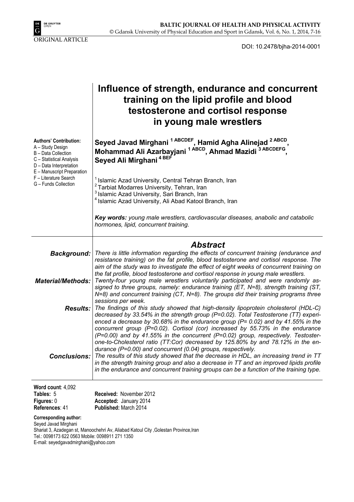

DOI: 10.2478/bjha-2014-0001

|                                                                                                                                 | Influence of strength, endurance and concurrent<br>training on the lipid profile and blood<br>testosterone and cortisol response<br>in young male wrestlers                                                                                                                                                                                                                                                                                                                                                                                                                                                                                                                                   |
|---------------------------------------------------------------------------------------------------------------------------------|-----------------------------------------------------------------------------------------------------------------------------------------------------------------------------------------------------------------------------------------------------------------------------------------------------------------------------------------------------------------------------------------------------------------------------------------------------------------------------------------------------------------------------------------------------------------------------------------------------------------------------------------------------------------------------------------------|
| <b>Authors' Contribution:</b><br>A - Study Design<br>B - Data Collection<br>C - Statistical Analysis<br>D - Data Interpretation | Seyed Javad Mirghani <sup>1 ABCDEF</sup> , Hamid Agha Alinejad <sup>2 ABCD</sup> ,<br>Mohammad Ali Azarbayjani <sup>1 ABCD</sup> , Ahmad Mazidi <sup>3 ABCDEFG</sup> ,<br>Seyed Ali Mirghani <sup>4 BEF</sup>                                                                                                                                                                                                                                                                                                                                                                                                                                                                                 |
| E - Manuscript Preparation<br>F - Literature Search<br>G - Funds Collection                                                     | Islamic Azad University, Central Tehran Branch, Iran<br><sup>2</sup> Tarbiat Modarres University, Tehran, Iran<br><sup>3</sup> Islamic Azad University, Sari Branch, Iran<br><sup>4</sup> Islamic Azad University, Ali Abad Katool Branch, Iran                                                                                                                                                                                                                                                                                                                                                                                                                                               |
|                                                                                                                                 | Key words: young male wrestlers, cardiovascular diseases, anabolic and catabolic<br>hormones, lipid, concurrent training.                                                                                                                                                                                                                                                                                                                                                                                                                                                                                                                                                                     |
|                                                                                                                                 | <b>Abstract</b>                                                                                                                                                                                                                                                                                                                                                                                                                                                                                                                                                                                                                                                                               |
| <b>Background:</b><br><b>Material/Methods:</b>                                                                                  | There is little information regarding the effects of concurrent training (endurance and<br>resistance training) on the fat profile, blood testosterone and cortisol response. The<br>aim of the study was to investigate the effect of eight weeks of concurrent training on<br>the fat profile, blood testosterone and cortisol response in young male wrestlers.<br>Twenty-four young male wrestlers voluntarily participated and were randomly as-<br>signed to three groups, namely: endurance training (ET, N=8), strength training (ST,                                                                                                                                                 |
| <b>Results:</b>                                                                                                                 | $N=8$ ) and concurrent training (CT, $N=8$ ). The groups did their training programs three<br>sessions per week.<br>The findings of this study showed that high-density lipoprotein cholesterol (HDL-C)<br>decreased by 33.54% in the strength group (P=0.02). Total Testosterone (TT) experi-                                                                                                                                                                                                                                                                                                                                                                                                |
| <b>Conclusions:</b>                                                                                                             | enced a decrease by 30.68% in the endurance group ( $P = 0.02$ ) and by 41.55% in the<br>concurrent group (P=0.02). Cortisol (cor) increased by 55.73% in the endurance<br>(P=0.00) and by 41.55% in the concurrent (P=0.02) group, respectively. Testoster-<br>one-to-Cholesterol ratio (TT:Cor) decreased by 125.80% by and 78.12% in the en-<br>durance (P=0.00) and concurrent (0.04) groups, respectively.<br>The results of this study showed that the decrease in HDL, an increasing trend in TT<br>in the strength training group and also a decrease in TT and an improved lipids profile<br>in the endurance and concurrent training groups can be a function of the training type. |
| Word count: 4,092<br>Tables: 5<br>Figures: 0<br>References: 41                                                                  | Received: November 2012<br>Accepted: January 2014<br>Published: March 2014                                                                                                                                                                                                                                                                                                                                                                                                                                                                                                                                                                                                                    |

**Corresponding author:** 

Seyed Javad Mirghani Shariat 3, Azadegan st, Manoochehri Av, Aliabad Katoul City , Golestan Province, Iran Tel.: 0098173 622 0563 Mobile: 0098911 271 1350 E-mail: seyedgavadmirghani@yahoo.com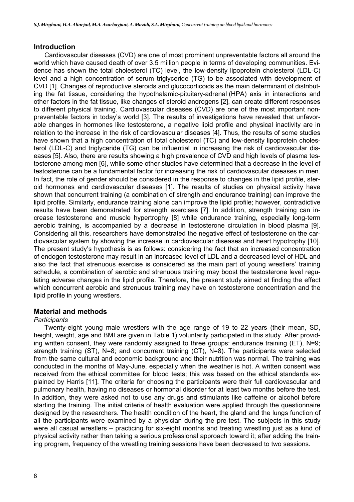#### **Introduction**

Cardiovascular diseases (CVD) are one of most prominent unpreventable factors all around the world which have caused death of over 3.5 million people in terms of developing communities. Evidence has shown the total cholesterol (TC) level, the low-density lipoprotein cholesterol (LDL-C) level and a high concentration of serum triglyceride (TG) to be associated with development of CVD [1]. Changes of reproductive steroids and glucocorticoids as the main determinant of distributing the fat tissue, considering the hypothalamic-pituitary-adrenal (HPA) axis in interactions and other factors in the fat tissue, like changes of steroid androgens [2], can create different responses to different physical training. Cardiovascular diseases (CVD) are one of the most important nonpreventable factors in today's world [3]. The results of investigations have revealed that unfavorable changes in hormones like testosterone, a negative lipid profile and physical inactivity are in relation to the increase in the risk of cardiovascular diseases [4]. Thus, the results of some studies have shown that a high concentration of total cholesterol (TC) and low-density lipoprotein cholesterol (LDL-C) and triglyceride (TG) can be influential in increasing the risk of cardiovascular diseases [5]. Also, there are results showing a high prevalence of CVD and high levels of plasma testosterone among men [6], while some other studies have determined that a decrease in the level of testosterone can be a fundamental factor for increasing the risk of cardiovascular diseases in men. In fact, the role of gender should be considered in the response to changes in the lipid profile, steroid hormones and cardiovascular diseases [1]. The results of studies on physical activity have shown that concurrent training (a combination of strength and endurance training) can improve the lipid profile. Similarly, endurance training alone can improve the lipid profile; however, contradictive results have been demonstrated for strength exercises [7]. In addition, strength training can increase testosterone and muscle hypertrophy [8] while endurance training, especially long-term aerobic training, is accompanied by a decrease in testosterone circulation in blood plasma [9]. Considering all this, researchers have demonstrated the negative effect of testosterone on the cardiovascular system by showing the increase in cardiovascular diseases and heart hypotrophy [10]. The present study's hypothesis is as follows: considering the fact that an increased concentration of endogen testosterone may result in an increased level of LDL and a decreased level of HDL and also the fact that strenuous exercise is considered as the main part of young wrestlers' training schedule, a combination of aerobic and strenuous training may boost the testosterone level regulating adverse changes in the lipid profile. Therefore, the present study aimed at finding the effect which concurrent aerobic and strenuous training may have on testosterone concentration and the lipid profile in young wrestlers.

# **Material and methods**

# *Participants*

Twenty-eight young male wrestlers with the age range of 19 to 22 years (their mean, SD, height, weight, age and BMI are given in Table 1) voluntarily participated in this study. After providing written consent, they were randomly assigned to three groups: endurance training (ET), N=9; strength training (ST), N=8; and concurrent training (CT), N=8). The participants were selected from the same cultural and economic background and their nutrition was normal. The training was conducted in the months of May-June, especially when the weather is hot. A written consent was received from the ethical committee for blood tests; this was based on the ethical standards explained by Harris [11]. The criteria for choosing the participants were their full cardiovascular and pulmonary health, having no diseases or hormonal disorder for at least two months before the test. In addition, they were asked not to use any drugs and stimulants like caffeine or alcohol before starting the training. The initial criteria of health evaluation were applied through the questionnaire designed by the researchers. The health condition of the heart, the gland and the lungs function of all the participants were examined by a physician during the pre-test. The subjects in this study were all casual wrestlers – practicing for six-eight months and treating wrestling just as a kind of physical activity rather than taking a serious professional approach toward it; after adding the training program, frequency of the wrestling training sessions have been decreased to two sessions.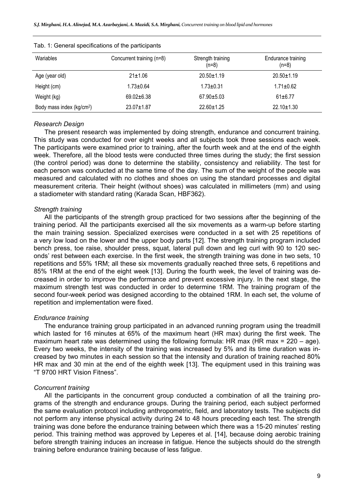| Wariables                             | Concurrent training (n=8) | Strength training<br>$(n=8)$ | Endurance training<br>$(n=8)$ |
|---------------------------------------|---------------------------|------------------------------|-------------------------------|
| Age (year old)                        | $21 \pm 1.06$             | $20.50 \pm 1.19$             | $20.50 \pm 1.19$              |
| Height (cm)                           | $1.73 \pm 0.64$           | $1.73 \pm 0.31$              | $1.71 \pm 0.62$               |
| Weight (kg)                           | $69.02 + 6.38$            | $67.90 + 5.03$               | $61 + 6.77$                   |
| Body mass index (kg/cm <sup>2</sup> ) | $23.07 + 1.87$            | $22.60 \pm 1.25$             | $22.10 \pm 1.30$              |

#### Tab. 1: General specifications of the participants

#### *Research Design*

The present research was implemented by doing strength, endurance and concurrent training. This study was conducted for over eight weeks and all subjects took three sessions each week. The participants were examined prior to training, after the fourth week and at the end of the eighth week. Therefore, all the blood tests were conducted three times during the study; the first session (the control period) was done to determine the stability, consistency and reliability. The test for each person was conducted at the same time of the day. The sum of the weight of the people was measured and calculated with no clothes and shoes on using the standard processes and digital measurement criteria. Their height (without shoes) was calculated in millimeters (mm) and using a stadiometer with standard rating (Karada Scan, HBF362).

#### *Strength training*

All the participants of the strength group practiced for two sessions after the beginning of the training period. All the participants exercised all the six movements as a warm-up before starting the main training session. Specialized exercises were conducted in a set with 25 repetitions of a very low load on the lower and the upper body parts [12]. The strength training program included bench press, toe raise, shoulder press, squat, lateral pull down and leg curl with 90 to 120 seconds' rest between each exercise. In the first week, the strength training was done in two sets, 10 repetitions and 55% 1RM; all these six movements gradually reached three sets, 6 repetitions and 85% 1RM at the end of the eight week [13]. During the fourth week, the level of training was decreased in order to improve the performance and prevent excessive injury. In the next stage, the maximum strength test was conducted in order to determine 1RM. The training program of the second four-week period was designed according to the obtained 1RM. In each set, the volume of repetition and implementation were fixed.

#### *Endurance training*

The endurance training group participated in an advanced running program using the treadmill which lasted for 16 minutes at 65% of the maximum heart (HR max) during the first week. The maximum heart rate was determined using the following formula: HR max (HR max =  $220 - age$ ). Every two weeks, the intensity of the training was increased by 5% and its time duration was increased by two minutes in each session so that the intensity and duration of training reached 80% HR max and 30 min at the end of the eighth week [13]. The equipment used in this training was "T 9700 HRT Vision Fitness".

#### *Concurrent training*

All the participants in the concurrent group conducted a combination of all the training programs of the strength and endurance groups. During the training period, each subject performed the same evaluation protocol including anthropometric, field, and laboratory tests. The subjects did not perform any intense physical activity during 24 to 48 hours preceding each test. The strength training was done before the endurance training between which there was a 15-20 minutes' resting period. This training method was approved by Leperes et al. [14], because doing aerobic training before strength training induces an increase in fatigue. Hence the subjects should do the strength training before endurance training because of less fatigue.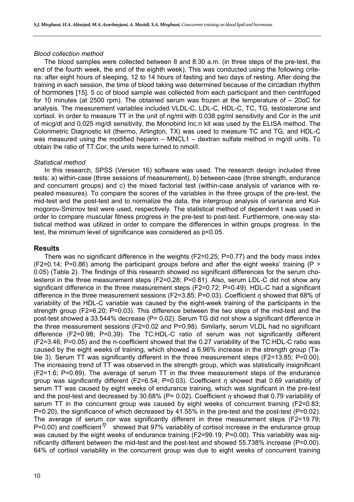#### *Blood collection method*

The blood samples were collected between 8 and 8:30 a.m. (in three steps of the pre-test, the end of the fourth week, the end of the eighth week). This was conducted using the following criteria: after eight hours of sleeping, 12 to 14 hours of fasting and two days of resting. After doing the training in each session, the time of blood taking was determined because of the circadian rhythm of hormones [15]. 5 cc of blood sample was collected from each participant and then centrifuged for 10 minutes (at 2500 rpm). The obtained serum was frozen at the temperature of – 20oC for analysis. The measurement variables included VLDL-C, LDL-C, HDL-C, TC, TG, testosterone and cortisol. In order to measure TT in the unit of ng/ml with 0.038 pg/ml sensitivity and Cor in the unit of micg/dl and 0.025 mg/dl sensitivity, the Monobind Inc.n kit was used by the ELISA method. The Colorimetric Diagnostic kit (thermo, Arlington, TX) was used to measure TC and TG, and HDL-C was measured using the modified heparin – MNCL1 – dextran sulfate method in mg/dl units. To obtain the ratio of TT:Cor, the units were turned to nmol/l.

#### *Statistical method*

In this research, SPSS (Version 16) software was used. The research design included three tests: a) within-case (three sessions of measurement), b) between-case (three strength, endurance and concurrent groups) and c) the mixed factorial test (within-case analysis of variance with repeated measures). To compare the scores of the variables in the three groups of the pre-test, the mid-test and the post-test and to normalize the data, the intergroup analysis of variance and Kolmogorov-Smirnov test were used, respectively. The statistical method of dependent t was used in order to compare muscular fitness progress in the pre-test to post-test. Furthermore, one-way statistical method was utilized in order to compare the differences in within groups progress. In the test, the minimum level of significance was considered as p<0.05.

# **Results**

There was no significant difference in the weights (F2=0.25; P=0.77) and the body mass index  $(F2=0.14; P=0.86)$  among the participant groups before and after the eight weeks' training (P > 0.05) (Table 2). The findings of this research showed no significant differences for the serum cholesterol in the three measurement steps (F2=0.28; P=0.81). Also, serum LDL-C did not show any significant difference in the three measurement steps (F2=0.72; P=0.49). HDL-C had a significant difference in the three measurement sessions (F2=3.85; P=0.03). Coefficient *η* showed that 68% of variability of the HDL-C variable was caused by the eight-week training of the participants in the strength group (F2=6.20; P=0.03). This difference between the two steps of the mid-test and the post-test showed a 33.544% decrease (P= 0.02). Serum TG did not show a significant difference in the three measurement sessions (F2=0.02 and P=0.98). Similarly, serum VLDL had no significant difference (F2=0.98; P=0.39). The TC:HDL-C ratio of serum was not significantly different (F2=3.46; P=0.05) and the n-coefficient showed that the 0.27 variability of the TC:HDL-C ratio was caused by the eight weeks of training, which showed a 6.96% increase in the strength group (Table 3). Serum TT was significantly different in the three measurement steps (F2=13.85; P=0.00). The increasing trend of TT was observed in the strength group, which was statistically insignificant (F2=1.6; P=0.89). The average of serum TT in the three measurement steps of the endurance group was significantly different (F2=6.54; P=0.03). Coefficient *η* showed that 0.69 variability of serum TT was caused by eight weeks of endurance training, which was significant in the pre-test and the post-test and decreased by 30.68% (P= 0.02). Coefficient *η* showed that 0.79 variability of serum TT in the concurrent group was caused by eight weeks of concurrent training (F2=0.83; P=0.20), the significance of which decreased by 41.55% in the pre-test and the post-test (P=0.02). The average of serum cor was significantly different in three measurement steps (F2=19.79; P=0.00) and coefficient  $\eta$  showed that 97% variability of cortisol increase in the endurance group was caused by the eight weeks of endurance training (F2=99.19; P=0.00). This variability was significantly different between the mid-test and the post-test and showed 55.738% increase (P=0.00). 64% of cortisol variability in the concurrent group was due to eight weeks of concurrent training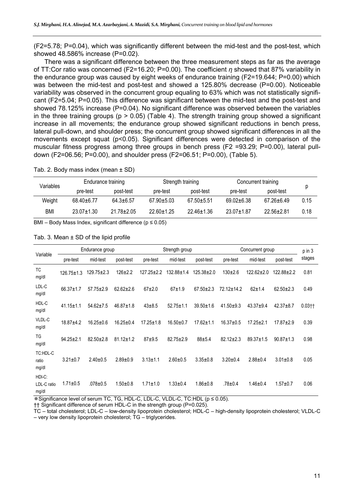(F2=5.78; P=0.04), which was significantly different between the mid-test and the post-test, which showed 48.586% increase (P=0.02).

There was a significant difference between the three measurement steps as far as the average of TT:Cor ratio was concerned (F2=16.20; P=0.00). The coefficient *η* showed that 87% variability in the endurance group was caused by eight weeks of endurance training (F2=19.644; P=0.00) which was between the mid-test and post-test and showed a 125.80% decrease (P=0.00). Noticeable variability was observed in the concurrent group equaling to 63% which was not statistically significant (F2=5.04; P=0.05). This difference was significant between the mid-test and the post-test and showed 78.125% increase (P=0.04). No significant difference was observed between the variables in the three training groups ( $p > 0.05$ ) (Table 4). The strength training group showed a significant increase in all movements; the endurance group showed significant reductions in bench press, lateral pull-down, and shoulder press; the concurrent group showed significant differences in all the movements except squat (p<0.05). Significant differences were detected in comparison of the muscular fitness progress among three groups in bench press (F2 =93.29; P=0.00), lateral pulldown (F2=06.56; P=0.00), and shoulder press (F2=06.51; P=0.00), (Table 5).

|  | Tab. 2. Body mass index (mean $\pm$ SD) |  |
|--|-----------------------------------------|--|
|  |                                         |  |

| Variables<br>Weight | Endurance training |                 |                  | Strength training | Concurrent training |                  |      |
|---------------------|--------------------|-----------------|------------------|-------------------|---------------------|------------------|------|
|                     | pre-test           | post-test       | pre-test         | post-test         | pre-test            | post-test        | р    |
|                     | $68.40 \pm 6.77$   | $64.3 \pm 6.57$ | $67.90 \pm 5.03$ | $67.50 + 5.51$    | $69.02 + 6.38$      | $67.26 \pm 6.49$ | 0.15 |
| BMI                 | $23.07 + 1.30$     | $21.78 + 2.05$  | $22.60 + 1.25$   | $22.46 + 1.36$    | $23.07 + 1.87$      | $22.56 + 2.81$   | 0.18 |

BMI – Body Mass Index, significant difference ( $p \le 0.05$ )

| Variable<br><b>TC</b><br>mg/dl<br>LDL-C<br>mg/dl<br>HDL-C<br>mg/dl<br>VLDL-C<br>mg/dl<br><b>TG</b><br>mg/dl<br>TC:HDL-C<br>ratio<br>mg/dl |                  | Endurance group       |                 |                  | Strength group   |                  | Concurrent group | p in 3          |                  |            |
|-------------------------------------------------------------------------------------------------------------------------------------------|------------------|-----------------------|-----------------|------------------|------------------|------------------|------------------|-----------------|------------------|------------|
|                                                                                                                                           | pre-test         | mid-test<br>post-test |                 | pre-test         | mid-test         | post-test        | pre-test         |                 | post-test        | stages     |
|                                                                                                                                           | $126.75 \pm 1.3$ | $129.75 \pm 2.3$      | $126 + 2.2$     | $127.25 \pm 2.2$ | $132.88 \pm 1.4$ | $125.38 \pm 2.0$ | $130+2.6$        | $122.62+2.0$    | $122.88 \pm 2.2$ | 0.81       |
|                                                                                                                                           | $66.37 \pm 1.7$  | $57.75 \pm 2.9$       | $62.62 \pm 2.6$ | $67+2.0$         | $67 + 1.9$       | $67.50 \pm 2.3$  | 72.12±14.2       | $62 + 1.4$      | $62.50 \pm 2.3$  | 0.49       |
|                                                                                                                                           | $41.15 \pm 1.1$  | $54.62 \pm 7.5$       | $46.87 \pm 1.8$ | $43 + 8.5$       | $52.75 \pm 1.1$  | $39.50 \pm 1.6$  | $41.50+9.3$      | $43.37 + 9.4$   | $42.37 + 8.7$    | $0.03 + 1$ |
|                                                                                                                                           | $18.87 + 4.2$    | $16.25 \pm 0.6$       | $16.25 \pm 0.4$ | $17.25 \pm 1.8$  | $16.50 \pm 0.7$  | $17.62 \pm 1.1$  | $16.37 \pm 0.5$  | $17.25 \pm 2.1$ | $17.87 + 2.9$    | 0.39       |
|                                                                                                                                           | $94.25 \pm 2.1$  | $82.50 \pm 2.8$       | $81.12 \pm 1.2$ | $87 + 9.5$       | $82.75 \pm 2.9$  | $88 + 5.4$       | $82.12 \pm 2.3$  | $89.37 \pm 1.5$ | $90.87 \pm 1.3$  | 0.98       |
|                                                                                                                                           | $3.21 \pm 0.7$   | $2.40 \pm 0.5$        | $2.89 + 0.9$    | $3.13 \pm 1.1$   | $2.60 + 0.5$     | $3.35 \pm 0.8$   | $3.20 \pm 0.4$   | $2.88 \pm 0.4$  | $3.01 \pm 0.8$   | 0.05       |
| HDI-C:<br>LDL-C ratio<br>mg/dl                                                                                                            | $1.71 \pm 0.5$   | $.078 + 0.5$          | $1.50 + 0.8$    | $1.71 \pm 1.0$   | $1.33 \pm 0.4$   | $1.86 + 0.8$     | $.78 + 0.4$      | $1.46 \pm 0.4$  | $1.57 + 0.7$     | 0.06       |

#### Tab. 3. Mean  $\pm$  SD of the lipid profile

Significance level of serum TC, TG, HDL-C, LDL-C, VLDL-C, TC:HDL (p ≤ 0.05).

†† Significant difference of serum HDL-C in the strength group (P=0.025).

TC – total cholesterol; LDL-C – low-density lipoprotein cholesterol; HDL-C – high-density lipoprotein cholesterol; VLDL-C – very low density lipoprotein cholesterol; TG – triglycerides.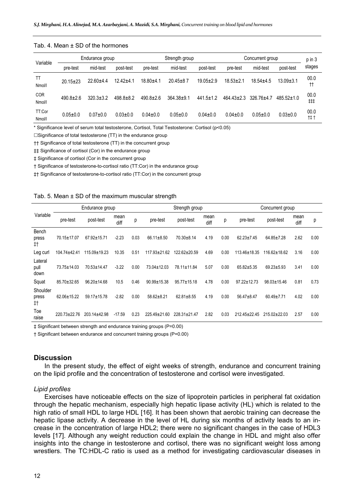| Variable<br>TT<br>Nmol/I<br><b>COR</b><br>Nmol/l<br>TT:Cor | Endurance group |                       |               | Strength group       |                 |                 | Concurrent group | p in 3          |                  |                   |
|------------------------------------------------------------|-----------------|-----------------------|---------------|----------------------|-----------------|-----------------|------------------|-----------------|------------------|-------------------|
|                                                            | pre-test        | mid-test<br>post-test |               | mid-test<br>pre-test |                 | post-test       | pre-test         | mid-test        | post-test        | stages            |
|                                                            | $20.15 \pm 23$  | $22.60 + 4.4$         | $12.42 + 4.1$ | $18.80 + 4.1$        | $20.45 \pm 8.7$ | $19.05 \pm 2.9$ | $18.53 \pm 2.1$  | $18.54 \pm 4.5$ | $13.09 \pm 3.1$  | 00.0<br>$\dagger$ |
|                                                            | $490.8 \pm 2.6$ | $320.3 \pm 3.2$       | $498.8 + 8.2$ | $490.8 \pm 2.6$      | $364.38 + 9.1$  | $441.5 \pm 1.2$ | $464.43 \pm 2.3$ | $326.76 + 4.7$  | $485.52 \pm 1.0$ | 00.0<br>##        |
| Nmol/I                                                     | $0.05 \pm 0.0$  | $0.07 + 0.0$          | $0.03 + 0.0$  | $0.04 \pm 0.0$       | $0.05 + 0.0$    | $0.04 \pm 0.0$  | $0.04 \pm 0.0$   | $0.05 + 0.0$    | $0.03 \pm 0.0$   | 00.0<br>†‡ †      |

#### Tab. 4. Mean + SD of the hormones

\* Significance level of serum total testosterone, Cortisol, Total Testosterone: Cortisol (p<0.05)

 $\square$ Significance of total testosterone (TT) in the endurance group

†† Significance of total testosterone (TT) in the concurrent group

‡‡ Significance of cortisol (Cor) in the endurance group

‡ Significance of cortisol (Cor in the concurrent group

† Significance of testosterone-to-cortisol ratio (TT:Cor) in the endurance group

‡† Significance of testosterone-to-cortisol ratio (TT:Cor) in the concurrent group

|  |  | Tab. 5. Mean $\pm$ SD of the maximum muscular strength |  |
|--|--|--------------------------------------------------------|--|
|  |  |                                                        |  |

|                              | Endurance group  |                   |              |      | Strength group    |                    |              |      | Concurrent group   |                    |              |      |
|------------------------------|------------------|-------------------|--------------|------|-------------------|--------------------|--------------|------|--------------------|--------------------|--------------|------|
| Variable                     | pre-test         | post-test         | mean<br>diff | р    | pre-test          | post-test          | mean<br>diff | р    | pre-test           | post-test          | mean<br>diff | р    |
| Bench<br>press<br>$\ddagger$ | 70.15±17.07      | 67.92±15.71       | $-2.23$      | 0.03 | $66.11 \pm 8.50$  | $70.30 \pm 8.14$   | 4.19         | 0.00 | $62.23 \pm 7.45$   | $64.85 \pm 7.28$   | 2.62         | 0.00 |
| Leg curl                     | $104.74 + 42.41$ | 115.09±19.23      | 10.35        | 0.51 | 117.93±21.62      | $122.62 \pm 20.59$ | 4.69         | 0.00 | 113.46±18.35       | 116.62±18.62       | 3.16         | 0.00 |
| Lateral<br>pull<br>down      | 73.75±14.03      | 70.53±14.47       | $-3.22$      | 0.00 | 73.04±12.03       | 78.11±11.84        | 5.07         | 0.00 | 65.82±5.35         | $69.23 + 5.93$     | 3.41         | 0.00 |
| Squat                        | 85.70±32.65      | $96.20 \pm 14.68$ | 10.5         | 0.46 | $90.99 \pm 15.38$ | $95.77 \pm 15.18$  | 4.78         | 0.00 | $97.22 \pm 12.73$  | $98.03 \pm 15.46$  | 0.81         | 0.73 |
| Shoulder<br>press<br>#t      | 62.06±15.22      | 59.17±15.78       | $-2.82$      | 0.00 | 58.62±8.21        | $62.81 \pm 8.55$   | 4.19         | 0.00 | $56.47 \pm 8.47$   | $60.49 \pm 7.71$   | 4.02         | 0.00 |
| Toe<br>raise                 | 220.73±22.76     | $20314+4298$      | $-17.59$     | 0.23 | 225.49±21.60      | $228.31 \pm 21.47$ | 2.82         | 0.03 | $212.45 \pm 22.45$ | $215.02 \pm 22.03$ | 2.57         | 0.00 |

‡ Significant between strength and endurance training groups (P=0.00)

† Significant between endurance and concurrent training groups (P=0.00)

#### **Discussion**

In the present study, the effect of eight weeks of strength, endurance and concurrent training on the lipid profile and the concentration of testosterone and cortisol were investigated.

#### *Lipid profiles*

Exercises have noticeable effects on the size of lipoprotein particles in peripheral fat oxidation through the hepatic mechanism, especially high hepatic lipase activity (HL) which is related to the high ratio of small HDL to large HDL [16]. It has been shown that aerobic training can decrease the hepatic lipase activity. A decrease in the level of HL during six months of activity leads to an increase in the concentration of large HDL2; there were no significant changes in the case of HDL3 levels [17]. Although any weight reduction could explain the change in HDL and might also offer insights into the change in testosterone and cortisol, there was no significant weight loss among wrestlers. The TC:HDL-C ratio is used as a method for investigating cardiovascular diseases in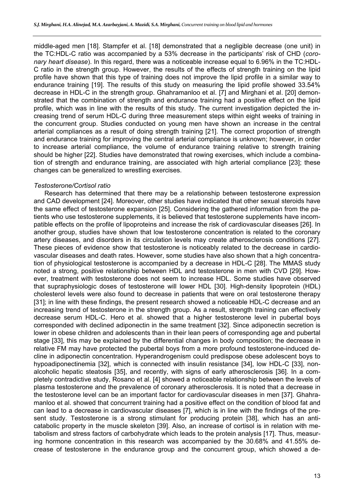middle-aged men [18]. Stampfer et al. [18] demonstrated that a negligible decrease (one unit) in the TC:HDL-C ratio was accompanied by a 53% decrease in the participants' risk of CHD (*coronary heart disease*). In this regard, there was a noticeable increase equal to 6.96% in the TC:HDL-C ratio in the strength group. However, the results of the effects of strength training on the lipid profile have shown that this type of training does not improve the lipid profile in a similar way to endurance training [19]. The results of this study on measuring the lipid profile showed 33.54% decrease in HDL-C in the strength group. Ghahramanloo et al. [7] and Mirghani et al. [20] demonstrated that the combination of strength and endurance training had a positive effect on the lipid profile, which was in line with the results of this study. The current investigation depicted the increasing trend of serum HDL-C during three measurement steps within eight weeks of training in the concurrent group. Studies conducted on young men have shown an increase in the central arterial compliances as a result of doing strength training [21]. The correct proportion of strength and endurance training for improving the central arterial compliance is unknown; however, in order to increase arterial compliance, the volume of endurance training relative to strength training should be higher [22]. Studies have demonstrated that rowing exercises, which include a combination of strength and endurance training, are associated with high arterial compliance [23]; these changes can be generalized to wrestling exercises.

# *Testosterone/Cortisol ratio*

Research has determined that there may be a relationship between testosterone expression and CAD development [24]. Moreover, other studies have indicated that other sexual steroids have the same effect of testosterone expansion [25]. Considering the gathered information from the patients who use testosterone supplements, it is believed that testosterone supplements have incompatible effects on the profile of lipoproteins and increase the risk of cardiovascular diseases [26]. In another group, studies have shown that low testosterone concentration is related to the coronary artery diseases, and disorders in its circulation levels may create atherosclerosis conditions [27]. These pieces of evidence show that testosterone is noticeably related to the decrease in cardiovascular diseases and death rates. However, some studies have also shown that a high concentration of physiological testosterone is accompanied by a decrease in HDL-C [28]. The MMAS study noted a strong, positive relationship between HDL and testosterone in men with CVD [29]. However, treatment with testosterone does not seem to increase HDL. Some studies have observed that supraphysiologic doses of testosterone will lower HDL [30]. High-density lipoprotein (HDL) cholesterol levels were also found to decrease in patients that were on oral testosterone therapy [31]; in line with these findings, the present research showed a noticeable HDL-C decrease and an increasing trend of testosterone in the strength group. As a result, strength training can effectively decrease serum HDL-C. Hero et al. showed that a higher testosterone level in pubertal boys corresponded with declined adiponectin in the same treatment [32]. Since adiponectin secretion is lower in obese children and adolescents than in their lean peers of corresponding age and pubertal stage [33], this may be explained by the differential changes in body composition; the decrease in relative FM may have protected the pubertal boys from a more profound testosterone-induced decline in adiponectin concentration. Hyperandrogenism could predispose obese adolescent boys to hypoadiponectinemia [32], which is connected with insulin resistance [34], low HDL-C [33], nonalcoholic hepatic steatosis [35], and recently, with signs of early atherosclerosis [36]. In a completely contradictive study, Rosano et al. [4] showed a noticeable relationship between the levels of plasma testosterone and the prevalence of coronary atherosclerosis. It is noted that a decrease in the testosterone level can be an important factor for cardiovascular diseases in men [37]. Ghahramanloo et al. showed that concurrent training had a positive effect on the condition of blood fat and can lead to a decrease in cardiovascular diseases [7], which is in line with the findings of the present study. Testosterone is a strong stimulant for producing protein [38], which has an anticatabolic property in the muscle skeleton [39]. Also, an increase of cortisol is in relation with metabolism and stress factors of carbohydrate which leads to the protein analysis [17]. Thus, measuring hormone concentration in this research was accompanied by the 30.68% and 41.55% decrease of testosterone in the endurance group and the concurrent group, which showed a de-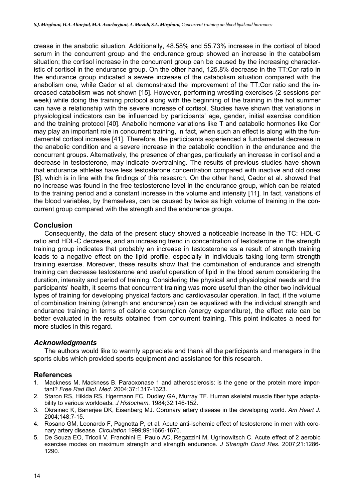crease in the anabolic situation. Additionally, 48.58% and 55.73% increase in the cortisol of blood serum in the concurrent group and the endurance group showed an increase in the catabolism situation; the cortisol increase in the concurrent group can be caused by the increasing characteristic of cortisol in the endurance group. On the other hand, 125.8% decrease in the TT:Cor ratio in the endurance group indicated a severe increase of the catabolism situation compared with the anabolism one, while Cador et al. demonstrated the improvement of the TT:Cor ratio and the increased catabolism was not shown [15]. However, performing wrestling exercises (2 sessions per week) while doing the training protocol along with the beginning of the training in the hot summer can have a relationship with the severe increase of cortisol. Studies have shown that variations in physiological indicators can be influenced by participants' age, gender, initial exercise condition and the training protocol [40]. Anabolic hormone variations like T and catabolic hormones like Cor may play an important role in concurrent training, in fact, when such an effect is along with the fundamental cortisol increase [41]. Therefore, the participants experienced a fundamental decrease in the anabolic condition and a severe increase in the catabolic condition in the endurance and the concurrent groups. Alternatively, the presence of changes, particularly an increase in cortisol and a decrease in testosterone, may indicate overtraining. The results of previous studies have shown that endurance athletes have less testosterone concentration compared with inactive and old ones [8], which is in line with the findings of this research. On the other hand, Cador et al. showed that no increase was found in the free testosterone level in the endurance group, which can be related to the training period and a constant increase in the volume and intensity [11]. In fact, variations of the blood variables, by themselves, can be caused by twice as high volume of training in the concurrent group compared with the strength and the endurance groups.

# **Conclusion**

Consequently, the data of the present study showed a noticeable increase in the TC: HDL-C ratio and HDL-C decrease, and an increasing trend in concentration of testosterone in the strength training group indicates that probably an increase in testosterone as a result of strength training leads to a negative effect on the lipid profile, especially in individuals taking long-term strength training exercise. Moreover, these results show that the combination of endurance and strength training can decrease testosterone and useful operation of lipid in the blood serum considering the duration, intensity and period of training. Considering the physical and physiological needs and the participants' health, it seems that concurrent training was more useful than the other two individual types of training for developing physical factors and cardiovascular operation. In fact, if the volume of combination training (strength and endurance) can be equalized with the individual strength and endurance training in terms of calorie consumption (energy expenditure), the effect rate can be better evaluated in the results obtained from concurrent training. This point indicates a need for more studies in this regard.

# *Acknowledgments*

The authors would like to warmly appreciate and thank all the participants and managers in the sports clubs which provided sports equipment and assistance for this research.

# **References**

- 1. Mackness M, Mackness B. Paraoxonase 1 and atherosclerosis: is the gene or the protein more important? *Free Rad Biol. Med.* 2004;37:1317-1323.
- 2. Staron RS, Hikida RS, Hgermann FC, Dudley GA, Murray TF. Human skeletal muscle fiber type adaptability to various workloads. *J Histochem*. 1984;32:146-152.
- 3. Okrainec K, Banerjee DK, Eisenberg MJ. Coronary artery disease in the developing world. *Am Heart J*. 2004;148:7-15.
- 4. Rosano GM, Leonardo F, Pagnotta P, et al. Acute anti-ischemic effect of testosterone in men with coronary artery disease. *Circulation* 1999;99:1666-1670.
- 5. De Souza EO, Tricoli V, Franchini E, Paulo AC, Regazzini M, Ugrinowitsch C. Acute effect of 2 aerobic exercise modes on maximum strength and strength endurance. *J Strength Cond Res*. 2007;21:1286- 1290.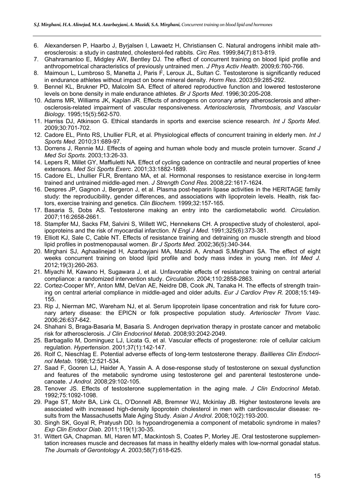- 6. Alexandersen P, Haarbo J, Byrjalsen I, Lawaetz H, Christiansen C. Natural androgens inhibit male atherosclerosis: a study in castrated, cholesterol-fed rabbits. *Circ Res*. 1999;84(7):813-819.
- 7. Ghahramanloo E, Midgley AW, Bentley DJ. The effect of concurrent training on blood lipid profile and anthropometrical characteristics of previously untrained men. *J Phys Activ Health*. 2009;6:760-766.
- 8. Maimoun L, Lumbroso S, Manetta J, Paris F, Leroux JL, Sultan C. Testosterone is significantly reduced in endurance athletes without impact on bone mineral density. *Horm Res*. 2003;59:285-292.
- 9. Bennel KL, Brukner PD, Malcolm SA. Effect of altered reproductive function and lowered testosterone levels on bone density in male endurance athletes. *Br J Sports Med*. 1996;30:205-208.
- 10. Adams MR, Williams JK, Kaplan JR. Effects of androgens on coronary artery atherosclerosis and atherosclerosis-related impairment of vascular responsiveness. *Arteriosclerosis, Thrombosis, and Vascular Biology*. 1995;15(5):562-570.
- 11. Harriss DJ, Atkinson G. Ethical standards in sports and exercise science research. *Int J Sports Med*. 2009;30:701-702.
- 12. Cadore EL, Pinto RS, Lhullier FLR, et al. Physiological effects of concurrent training in elderly men. *Int J Sports Med*. 2010;31:689-97.
- 13. Dorrens J, Rennie MJ. Effects of ageing and human whole body and muscle protein turnover. *Scand J Med Sci Sports*. 2003;13:26-33.
- 14. Lepers R, Millet GY, Maffiuletti NA. Effect of cycling cadence on contractile and neural properties of knee extensors. *Med Sci Sports Exerc*. 2001;33:1882-1889.
- 15. Cadore EL, Lhullier FLR, Brentano MA, et al. Hormonal responses to resistance exercise in long-term trained and untrained middle-aged men. *J Strength Cond Res*. 2008;22:1617-1624.
- 16. Despres JP, Gagnon J, Bergeron J, et al. Plasma post-heparin lipase activities in the HERITAGE family study: the reproducibility, gender differences, and associations with lipoprotein levels. Health, risk factors, exercise training and genetics. *Clin Biochem*. 1999;32:157-165.
- 17. Basaria S, Dobs AS. Testosterone making an entry into the cardiometabolic world. *Circulation*. 2007;116:2658-2661.
- 18. Stampfer MJ, Sacks FM, Salvini S, Willett WC, Hennekens CH. A prospective study of cholesterol, apolipoproteins and the risk of myocardial infarction. *N Engl J Med.* 1991;325(6):373-381.
- 19. Elliott KJ, Sale C, Cable NT. Effects of resistance training and detraining on muscle strength and blood lipid profiles in postmenopausal women. *Br J Sports Med.* 2002;36(5):340-344.
- 20. Mirghani SJ, Aghaalinejad H, Azarbayjani MA, Mazidi A, Arshadi S,Mirghani SA. The effect of eight weeks concurrent training on blood lipid profile and body mass index in young men. *Int Med J.* 2012;19(3):260-263.
- 21. Miyachi M, Kawano H, Sugawara J, et al. Unfavorable effects of resistance training on central arterial compliance: a randomized intervention study. *Circulation*. 2004;110:2858-2863.
- 22. Cortez-Cooper MY, Anton MM, DeVan AE, Neidre DB, Cook JN, Tanaka H. The effects of strength training on central arterial compliance in middle-aged and older adults. *Eur J Cardiov Prev R.* 2008;15:149- 155.
- 23. Rip J, Nierman MC, Wareham NJ, et al. Serum lipoprotein lipase concentration and risk for future coronary artery disease: the EPICN or folk prospective population study. *Arterioscler Throm Vasc*. 2006;26:637-642.
- 24. Shahani S, Braga-Basaria M, Basaria S. Androgen deprivation therapy in prostate cancer and metabolic risk for atherosclerosis. *J Clin Endocrinol Metab*. 2008;93:2042-2049.
- 25. Barbagallo M, Dominguez LJ, Licata G, et al. Vascular effects of progesterone: role of cellular calcium regulation. *Hypertension*. 2001;37(1):142-147.
- 26. Rolf C, Nieschlag E. Potential adverse effects of long-term testosterone therapy. *Baillieres Clin Endocrinol Metab*. 1998;12:521-534.
- 27. Saad F, Gooren LJ, Haider A, Yassin A. A dose-response study of testosterone on sexual dysfunction and features of the metabolic syndrome using testosterone gel and parenteral testosterone undecanoate. *J Androl.* 2008;29:102-105.
- 28. Tenover JS. Effects of testosterone supplementation in the aging male. *J Clin Endocrinol Metab*. 1992;75:1092-1098.
- 29. Page ST, Mohr BA, Link CL, O'Donnell AB, Bremner WJ, Mckinlay JB. Higher testosterone levels are associated with increased high-density lipoprotein cholesterol in men with cardiovascular disease: results from the Massachusetts Male Aging Study. *Asian J Androl*. 2008;10(2):193-200.
- 30. Singh SK, Goyal R, Pratyush DD. Is hypoandrogenemia a component of metabolic syndrome in males? *Exp Clin Endocr Diab*. 2011;119(1):30-35.
- 31. Wittert GA, Chapman. MI, Haren MT, Mackintosh S, Coates P, Morley JE. Oral testosterone supplementation increases muscle and decreases fat mass in healthy elderly males with low-normal gonadal status. *The Journals of Gerontology A*. 2003;58(7):618-625.